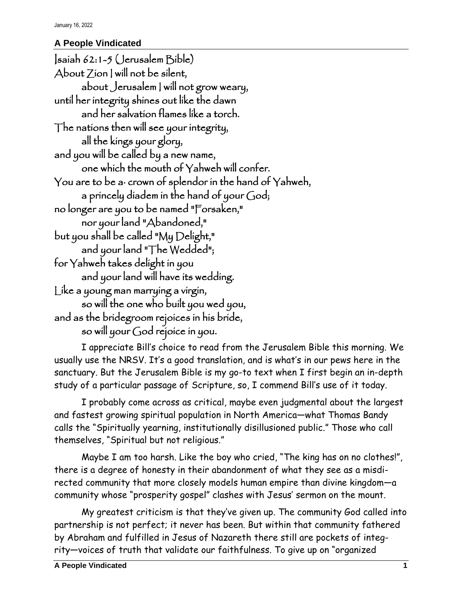## **A People Vindicated**

Isaiah 62:1-5 (Jerusalem Bible) About Zion I will not be silent, about Jerusalem I will not grow weary, until her integrity shines out like the dawn and her salvation flames like a torch. The nations then will see your integrity, all the kings your glory, and you will be called by a new name, one which the mouth of Yahweh will confer. You are to be a· crown of splendor in the hand of Yahweh, a princely diadem in the hand of your God; no longer are you to be named "Forsaken," nor your land "Abandoned," but you shall be called "My Delight," and your land "The Wedded"; for Yahweh takes delight in you and your land will have its wedding. Like a young man marrying a virgin, so will the one who built you wed you, and as the bridegroom rejoices in his bride, so will your God rejoice in you.

I appreciate Bill's choice to read from the Jerusalem Bible this morning. We usually use the NRSV. It's a good translation, and is what's in our pews here in the sanctuary. But the Jerusalem Bible is my go-to text when I first begin an in-depth study of a particular passage of Scripture, so, I commend Bill's use of it today.

I probably come across as critical, maybe even judgmental about the largest and fastest growing spiritual population in North America—what Thomas Bandy calls the "Spiritually yearning, institutionally disillusioned public." Those who call themselves, "Spiritual but not religious."

Maybe I am too harsh. Like the boy who cried, "The king has on no clothes!", there is a degree of honesty in their abandonment of what they see as a misdirected community that more closely models human empire than divine kingdom—a community whose "prosperity gospel" clashes with Jesus' sermon on the mount.

My greatest criticism is that they've given up. The community God called into partnership is not perfect; it never has been. But within that community fathered by Abraham and fulfilled in Jesus of Nazareth there still are pockets of integrity—voices of truth that validate our faithfulness. To give up on "organized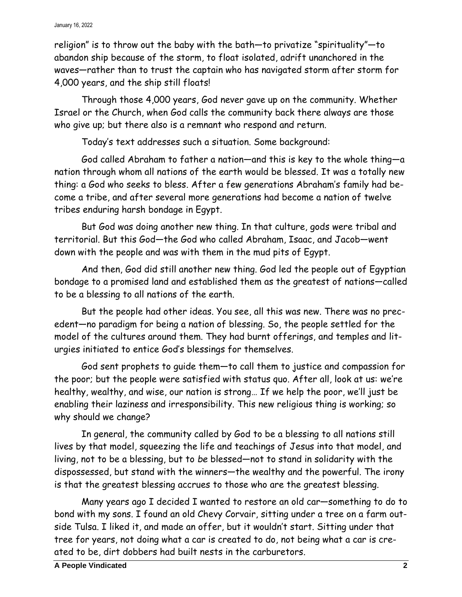religion" is to throw out the baby with the bath—to privatize "spirituality"—to abandon ship because of the storm, to float isolated, adrift unanchored in the waves—rather than to trust the captain who has navigated storm after storm for 4,000 years, and the ship still floats!

Through those 4,000 years, God never gave up on the community. Whether Israel or the Church, when God calls the community back there always are those who give up; but there also is a remnant who respond and return.

Today's text addresses such a situation. Some background:

God called Abraham to father a nation—and this is key to the whole thing—a nation through whom all nations of the earth would be blessed. It was a totally new thing: a God who seeks to bless. After a few generations Abraham's family had become a tribe, and after several more generations had become a nation of twelve tribes enduring harsh bondage in Egypt.

But God was doing another new thing. In that culture, gods were tribal and territorial. But this God—the God who called Abraham, Isaac, and Jacob—went down with the people and was with them in the mud pits of Egypt.

And then, God did still another new thing. God led the people out of Egyptian bondage to a promised land and established them as the greatest of nations—called to be a blessing to all nations of the earth.

But the people had other ideas. You see, all this was new. There was no precedent—no paradigm for being a nation of blessing. So, the people settled for the model of the cultures around them. They had burnt offerings, and temples and liturgies initiated to entice God's blessings for themselves.

God sent prophets to guide them—to call them to justice and compassion for the poor; but the people were satisfied with status quo. After all, look at us: we're healthy, wealthy, and wise, our nation is strong… If we help the poor, we'll just be enabling their laziness and irresponsibility. This new religious thing is working; so why should we change?

In general, the community called by God to be a blessing to all nations still lives by that model, squeezing the life and teachings of Jesus into that model, and living, not to be a blessing, but to *be* blessed—not to stand in solidarity with the dispossessed, but stand with the winners—the wealthy and the powerful. The irony is that the greatest blessing accrues to those who are the greatest blessing.

Many years ago I decided I wanted to restore an old car—something to do to bond with my sons. I found an old Chevy Corvair, sitting under a tree on a farm outside Tulsa. I liked it, and made an offer, but it wouldn't start. Sitting under that tree for years, not doing what a car is created to do, not being what a car is created to be, dirt dobbers had built nests in the carburetors.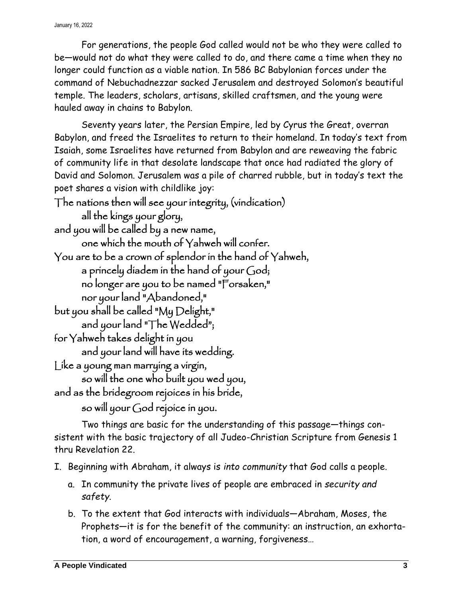For generations, the people God called would not be who they were called to be—would not do what they were called to do, and there came a time when they no longer could function as a viable nation. In 586 BC Babylonian forces under the command of Nebuchadnezzar sacked Jerusalem and destroyed Solomon's beautiful temple. The leaders, scholars, artisans, skilled craftsmen, and the young were hauled away in chains to Babylon.

Seventy years later, the Persian Empire, led by Cyrus the Great, overran Babylon, and freed the Israelites to return to their homeland. In today's text from Isaiah, some Israelites have returned from Babylon and are reweaving the fabric of community life in that desolate landscape that once had radiated the glory of David and Solomon. Jerusalem was a pile of charred rubble, but in today's text the poet shares a vision with childlike joy:

The nations then will see your integrity, (vindication) all the kings your glory, and you will be called by a new name, one which the mouth of Yahweh will confer. You are to be a crown of splendor in the hand of Yahweh, a princely diadem in the hand of your God; no longer are you to be named "Forsaken," nor your land "Abandoned," but you shall be called "My Delight," and your land "The Wedded"; for Yahweh takes delight in you and your land will have its wedding. Like a young man marrying a virgin, so will the one who built you wed you, and as the bridegroom rejoices in his bride, so will your God rejoice in you.

Two things are basic for the understanding of this passage—things consistent with the basic trajectory of all Judeo-Christian Scripture from Genesis 1 thru Revelation 22.

- I. Beginning with Abraham, it always is *into community* that God calls a people.
	- a. In community the private lives of people are embraced in *security and safety*.
	- b. To the extent that God interacts with individuals—Abraham, Moses, the Prophets—it is for the benefit of the community: an instruction, an exhortation, a word of encouragement, a warning, forgiveness…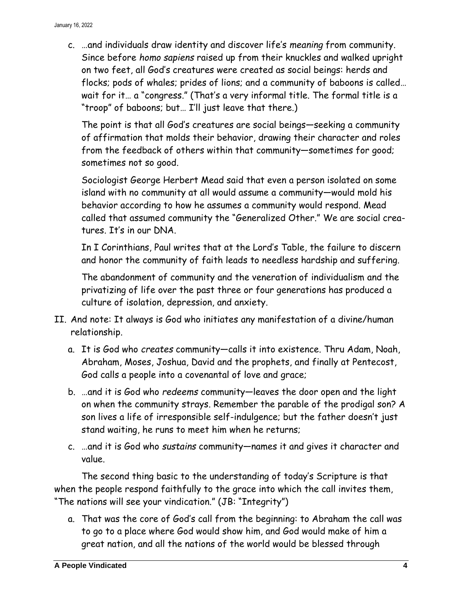c. …and individuals draw identity and discover life's *meaning* from community. Since before *homo sapiens* raised up from their knuckles and walked upright on two feet, all God's creatures were created as social beings: herds and flocks; pods of whales; prides of lions; and a community of baboons is called… wait for it… a "congress." (That's a very informal title. The formal title is a "troop" of baboons; but… I'll just leave that there.)

The point is that all God's creatures are social beings—seeking a community of affirmation that molds their behavior, drawing their character and roles from the feedback of others within that community—sometimes for good; sometimes not so good.

Sociologist George Herbert Mead said that even a person isolated on some island with no community at all would assume a community—would mold his behavior according to how he assumes a community would respond. Mead called that assumed community the "Generalized Other." We are social creatures. It's in our DNA.

In I Corinthians, Paul writes that at the Lord's Table, the failure to discern and honor the community of faith leads to needless hardship and suffering.

The abandonment of community and the veneration of individualism and the privatizing of life over the past three or four generations has produced a culture of isolation, depression, and anxiety.

- II. And note: It always is God who initiates any manifestation of a divine/human relationship.
	- a. It is God who *creates* community—calls it into existence. Thru Adam, Noah, Abraham, Moses, Joshua, David and the prophets, and finally at Pentecost, God calls a people into a covenantal of love and grace;
	- b. …and it is God who *redeems* community—leaves the door open and the light on when the community strays. Remember the parable of the prodigal son? A son lives a life of irresponsible self-indulgence; but the father doesn't just stand waiting, he runs to meet him when he returns;
	- c. …and it is God who *sustains* community—names it and gives it character and value.

The second thing basic to the understanding of today's Scripture is that when the people respond faithfully to the grace into which the call invites them, "The nations will see your vindication." (JB: "Integrity")

a. That was the core of God's call from the beginning: to Abraham the call was to go to a place where God would show him, and God would make of him a great nation, and all the nations of the world would be blessed through